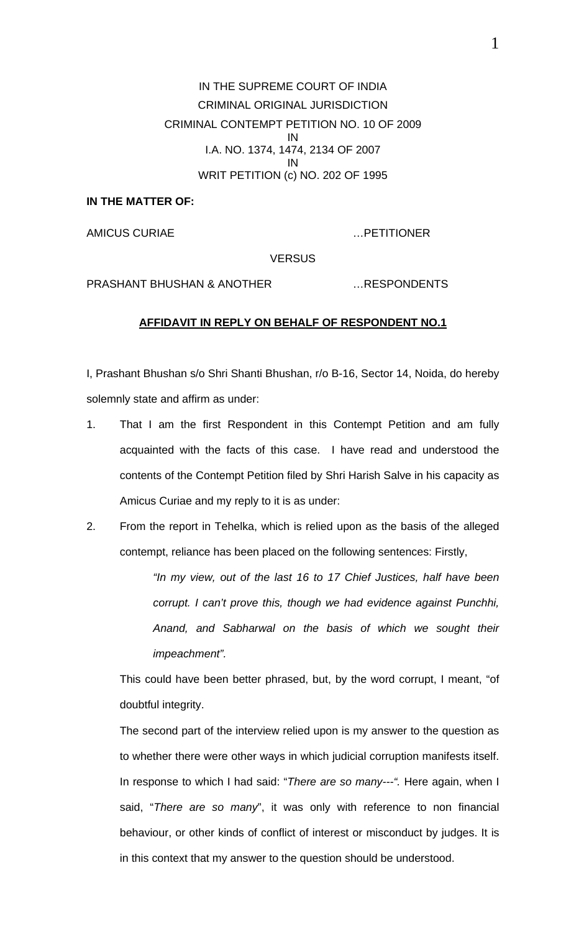IN THE SUPREME COURT OF INDIA CRIMINAL ORIGINAL JURISDICTION CRIMINAL CONTEMPT PETITION NO. 10 OF 2009 IN I.A. NO. 1374, 1474, 2134 OF 2007 IN WRIT PETITION (c) NO. 202 OF 1995

## **IN THE MATTER OF:**

AMICUS CURIAE …PETITIONER

**VERSUS** 

PRASHANT BHUSHAN & ANOTHER …RESPONDENTS

## **AFFIDAVIT IN REPLY ON BEHALF OF RESPONDENT NO.1**

I, Prashant Bhushan s/o Shri Shanti Bhushan, r/o B-16, Sector 14, Noida, do hereby solemnly state and affirm as under:

- 1. That I am the first Respondent in this Contempt Petition and am fully acquainted with the facts of this case. I have read and understood the contents of the Contempt Petition filed by Shri Harish Salve in his capacity as Amicus Curiae and my reply to it is as under:
- 2. From the report in Tehelka, which is relied upon as the basis of the alleged contempt, reliance has been placed on the following sentences: Firstly,

*"In my view, out of the last 16 to 17 Chief Justices, half have been corrupt. I can't prove this, though we had evidence against Punchhi, Anand, and Sabharwal on the basis of which we sought their impeachment".* 

This could have been better phrased, but, by the word corrupt, I meant, "of doubtful integrity.

The second part of the interview relied upon is my answer to the question as to whether there were other ways in which judicial corruption manifests itself. In response to which I had said: "*There are so many---".* Here again, when I said, "*There are so many*", it was only with reference to non financial behaviour, or other kinds of conflict of interest or misconduct by judges. It is in this context that my answer to the question should be understood.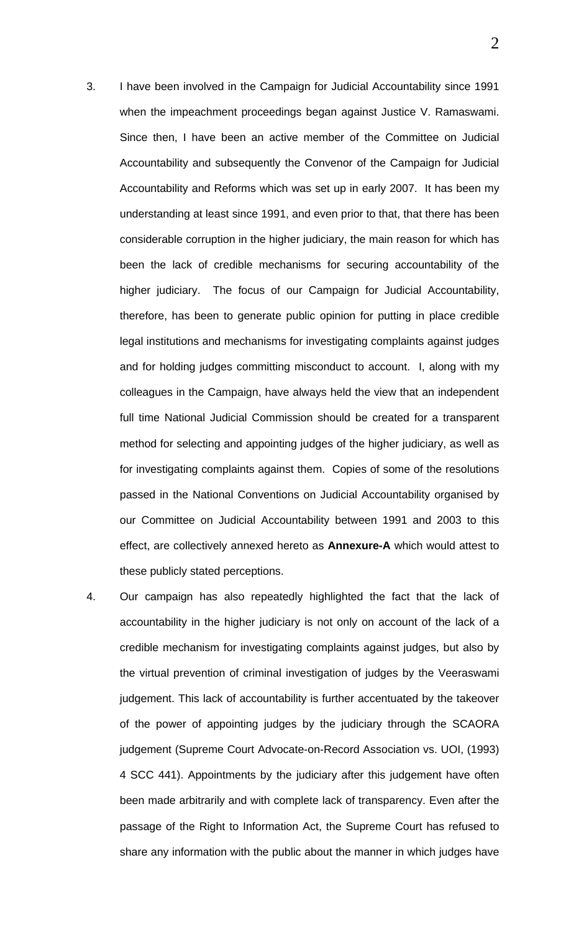- 3. I have been involved in the Campaign for Judicial Accountability since 1991 when the impeachment proceedings began against Justice V. Ramaswami. Since then, I have been an active member of the Committee on Judicial Accountability and subsequently the Convenor of the Campaign for Judicial Accountability and Reforms which was set up in early 2007. It has been my understanding at least since 1991, and even prior to that, that there has been considerable corruption in the higher judiciary, the main reason for which has been the lack of credible mechanisms for securing accountability of the higher judiciary. The focus of our Campaign for Judicial Accountability, therefore, has been to generate public opinion for putting in place credible legal institutions and mechanisms for investigating complaints against judges and for holding judges committing misconduct to account. I, along with my colleagues in the Campaign, have always held the view that an independent full time National Judicial Commission should be created for a transparent method for selecting and appointing judges of the higher judiciary, as well as for investigating complaints against them. Copies of some of the resolutions passed in the National Conventions on Judicial Accountability organised by our Committee on Judicial Accountability between 1991 and 2003 to this effect, are collectively annexed hereto as **Annexure-A** which would attest to these publicly stated perceptions.
- 4. Our campaign has also repeatedly highlighted the fact that the lack of accountability in the higher judiciary is not only on account of the lack of a credible mechanism for investigating complaints against judges, but also by the virtual prevention of criminal investigation of judges by the Veeraswami judgement. This lack of accountability is further accentuated by the takeover of the power of appointing judges by the judiciary through the SCAORA judgement (Supreme Court Advocate-on-Record Association vs. UOI, (1993) 4 SCC 441). Appointments by the judiciary after this judgement have often been made arbitrarily and with complete lack of transparency. Even after the passage of the Right to Information Act, the Supreme Court has refused to share any information with the public about the manner in which judges have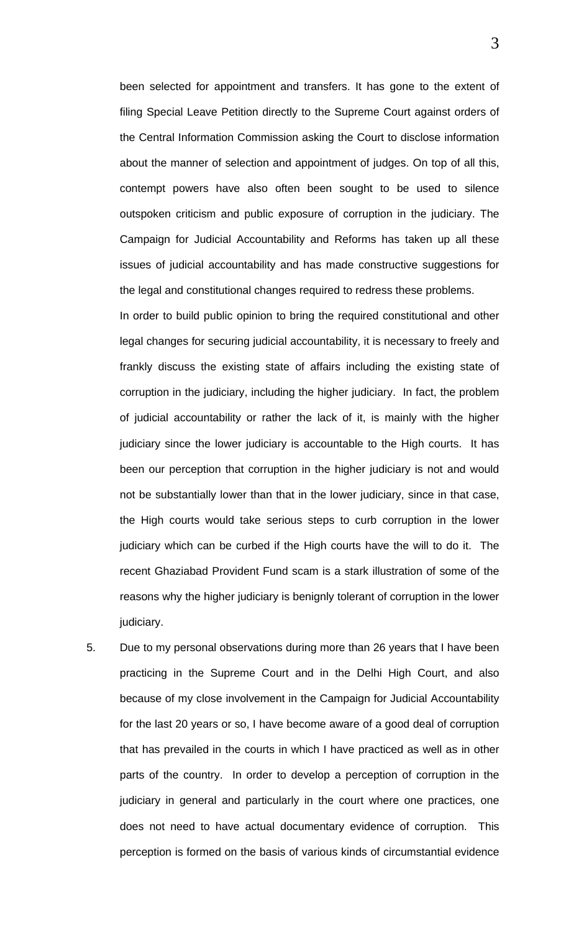been selected for appointment and transfers. It has gone to the extent of filing Special Leave Petition directly to the Supreme Court against orders of the Central Information Commission asking the Court to disclose information about the manner of selection and appointment of judges. On top of all this, contempt powers have also often been sought to be used to silence outspoken criticism and public exposure of corruption in the judiciary. The Campaign for Judicial Accountability and Reforms has taken up all these issues of judicial accountability and has made constructive suggestions for the legal and constitutional changes required to redress these problems.

In order to build public opinion to bring the required constitutional and other legal changes for securing judicial accountability, it is necessary to freely and frankly discuss the existing state of affairs including the existing state of corruption in the judiciary, including the higher judiciary. In fact, the problem of judicial accountability or rather the lack of it, is mainly with the higher judiciary since the lower judiciary is accountable to the High courts. It has been our perception that corruption in the higher judiciary is not and would not be substantially lower than that in the lower judiciary, since in that case, the High courts would take serious steps to curb corruption in the lower judiciary which can be curbed if the High courts have the will to do it. The recent Ghaziabad Provident Fund scam is a stark illustration of some of the reasons why the higher judiciary is benignly tolerant of corruption in the lower judiciary.

5. Due to my personal observations during more than 26 years that I have been practicing in the Supreme Court and in the Delhi High Court, and also because of my close involvement in the Campaign for Judicial Accountability for the last 20 years or so, I have become aware of a good deal of corruption that has prevailed in the courts in which I have practiced as well as in other parts of the country. In order to develop a perception of corruption in the judiciary in general and particularly in the court where one practices, one does not need to have actual documentary evidence of corruption. This perception is formed on the basis of various kinds of circumstantial evidence

3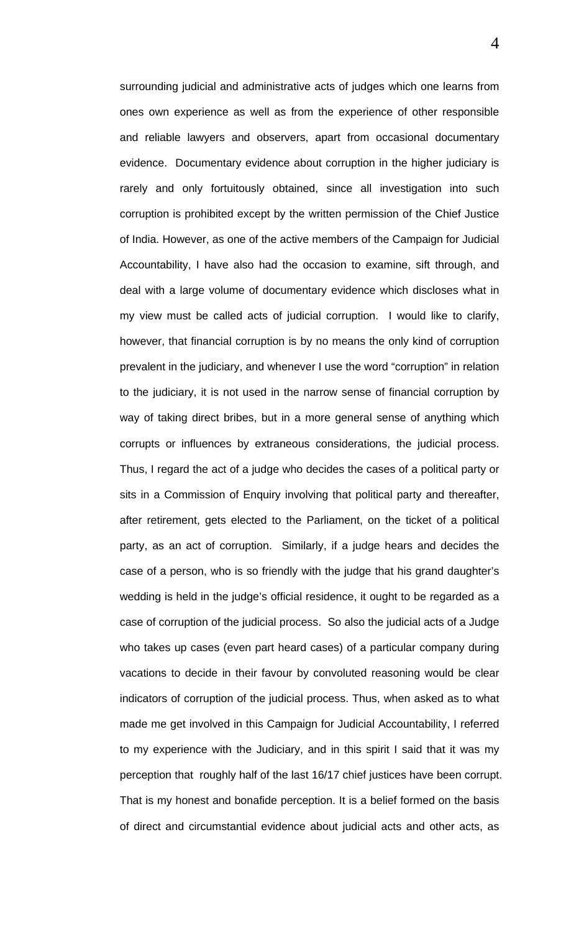surrounding judicial and administrative acts of judges which one learns from ones own experience as well as from the experience of other responsible and reliable lawyers and observers, apart from occasional documentary evidence. Documentary evidence about corruption in the higher judiciary is rarely and only fortuitously obtained, since all investigation into such corruption is prohibited except by the written permission of the Chief Justice of India. However, as one of the active members of the Campaign for Judicial Accountability, I have also had the occasion to examine, sift through, and deal with a large volume of documentary evidence which discloses what in my view must be called acts of judicial corruption. I would like to clarify, however, that financial corruption is by no means the only kind of corruption prevalent in the judiciary, and whenever I use the word "corruption" in relation to the judiciary, it is not used in the narrow sense of financial corruption by way of taking direct bribes, but in a more general sense of anything which corrupts or influences by extraneous considerations, the judicial process. Thus, I regard the act of a judge who decides the cases of a political party or sits in a Commission of Enquiry involving that political party and thereafter, after retirement, gets elected to the Parliament, on the ticket of a political party, as an act of corruption. Similarly, if a judge hears and decides the case of a person, who is so friendly with the judge that his grand daughter's wedding is held in the judge's official residence, it ought to be regarded as a case of corruption of the judicial process. So also the judicial acts of a Judge who takes up cases (even part heard cases) of a particular company during vacations to decide in their favour by convoluted reasoning would be clear indicators of corruption of the judicial process. Thus, when asked as to what made me get involved in this Campaign for Judicial Accountability, I referred to my experience with the Judiciary, and in this spirit I said that it was my perception that roughly half of the last 16/17 chief justices have been corrupt. That is my honest and bonafide perception. It is a belief formed on the basis of direct and circumstantial evidence about judicial acts and other acts, as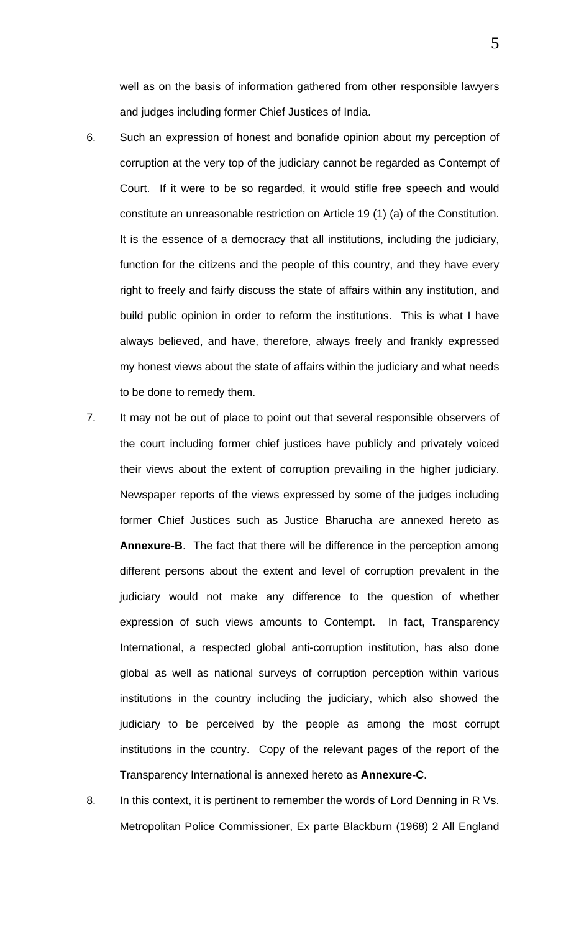well as on the basis of information gathered from other responsible lawyers and judges including former Chief Justices of India.

- 6. Such an expression of honest and bonafide opinion about my perception of corruption at the very top of the judiciary cannot be regarded as Contempt of Court. If it were to be so regarded, it would stifle free speech and would constitute an unreasonable restriction on Article 19 (1) (a) of the Constitution. It is the essence of a democracy that all institutions, including the judiciary, function for the citizens and the people of this country, and they have every right to freely and fairly discuss the state of affairs within any institution, and build public opinion in order to reform the institutions. This is what I have always believed, and have, therefore, always freely and frankly expressed my honest views about the state of affairs within the judiciary and what needs to be done to remedy them.
- 7. It may not be out of place to point out that several responsible observers of the court including former chief justices have publicly and privately voiced their views about the extent of corruption prevailing in the higher judiciary. Newspaper reports of the views expressed by some of the judges including former Chief Justices such as Justice Bharucha are annexed hereto as **Annexure-B**. The fact that there will be difference in the perception among different persons about the extent and level of corruption prevalent in the judiciary would not make any difference to the question of whether expression of such views amounts to Contempt. In fact, Transparency International, a respected global anti-corruption institution, has also done global as well as national surveys of corruption perception within various institutions in the country including the judiciary, which also showed the judiciary to be perceived by the people as among the most corrupt institutions in the country. Copy of the relevant pages of the report of the Transparency International is annexed hereto as **Annexure-C**.
- 8. In this context, it is pertinent to remember the words of Lord Denning in R Vs. Metropolitan Police Commissioner, Ex parte Blackburn (1968) 2 All England

5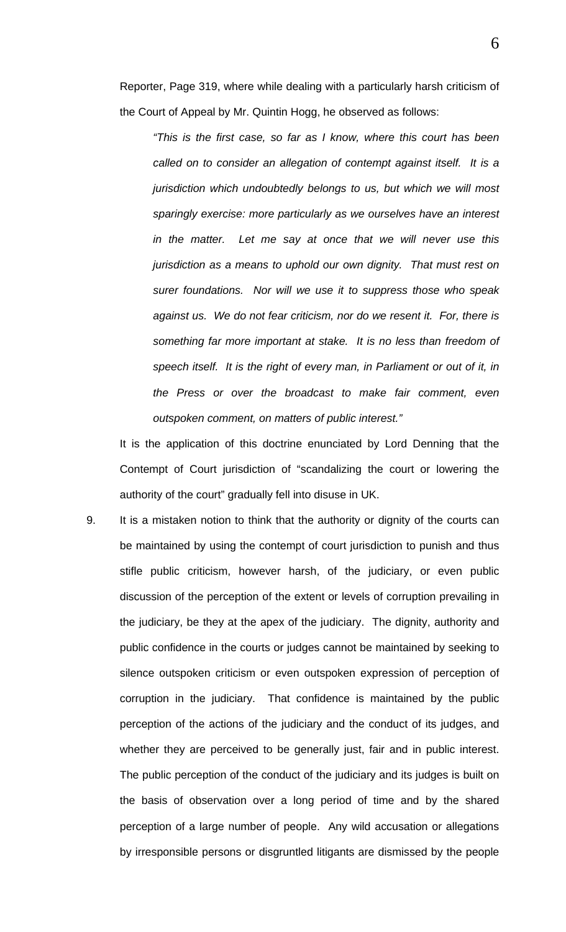Reporter, Page 319, where while dealing with a particularly harsh criticism of the Court of Appeal by Mr. Quintin Hogg, he observed as follows:

*"This is the first case, so far as I know, where this court has been called on to consider an allegation of contempt against itself. It is a jurisdiction which undoubtedly belongs to us, but which we will most sparingly exercise: more particularly as we ourselves have an interest in the matter. Let me say at once that we will never use this jurisdiction as a means to uphold our own dignity. That must rest on surer foundations. Nor will we use it to suppress those who speak against us. We do not fear criticism, nor do we resent it. For, there is something far more important at stake. It is no less than freedom of speech itself. It is the right of every man, in Parliament or out of it, in the Press or over the broadcast to make fair comment, even outspoken comment, on matters of public interest."* 

It is the application of this doctrine enunciated by Lord Denning that the Contempt of Court jurisdiction of "scandalizing the court or lowering the authority of the court" gradually fell into disuse in UK.

9. It is a mistaken notion to think that the authority or dignity of the courts can be maintained by using the contempt of court jurisdiction to punish and thus stifle public criticism, however harsh, of the judiciary, or even public discussion of the perception of the extent or levels of corruption prevailing in the judiciary, be they at the apex of the judiciary. The dignity, authority and public confidence in the courts or judges cannot be maintained by seeking to silence outspoken criticism or even outspoken expression of perception of corruption in the judiciary. That confidence is maintained by the public perception of the actions of the judiciary and the conduct of its judges, and whether they are perceived to be generally just, fair and in public interest. The public perception of the conduct of the judiciary and its judges is built on the basis of observation over a long period of time and by the shared perception of a large number of people. Any wild accusation or allegations by irresponsible persons or disgruntled litigants are dismissed by the people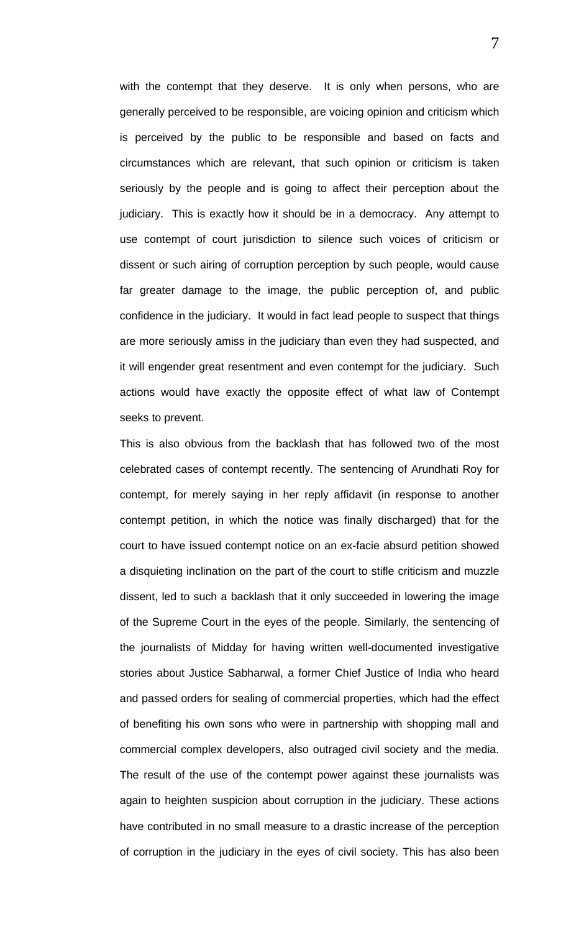with the contempt that they deserve. It is only when persons, who are generally perceived to be responsible, are voicing opinion and criticism which is perceived by the public to be responsible and based on facts and circumstances which are relevant, that such opinion or criticism is taken seriously by the people and is going to affect their perception about the judiciary. This is exactly how it should be in a democracy. Any attempt to use contempt of court jurisdiction to silence such voices of criticism or dissent or such airing of corruption perception by such people, would cause far greater damage to the image, the public perception of, and public confidence in the judiciary. It would in fact lead people to suspect that things are more seriously amiss in the judiciary than even they had suspected, and it will engender great resentment and even contempt for the judiciary. Such actions would have exactly the opposite effect of what law of Contempt seeks to prevent.

This is also obvious from the backlash that has followed two of the most celebrated cases of contempt recently. The sentencing of Arundhati Roy for contempt, for merely saying in her reply affidavit (in response to another contempt petition, in which the notice was finally discharged) that for the court to have issued contempt notice on an ex-facie absurd petition showed a disquieting inclination on the part of the court to stifle criticism and muzzle dissent, led to such a backlash that it only succeeded in lowering the image of the Supreme Court in the eyes of the people. Similarly, the sentencing of the journalists of Midday for having written well-documented investigative stories about Justice Sabharwal, a former Chief Justice of India who heard and passed orders for sealing of commercial properties, which had the effect of benefiting his own sons who were in partnership with shopping mall and commercial complex developers, also outraged civil society and the media. The result of the use of the contempt power against these journalists was again to heighten suspicion about corruption in the judiciary. These actions have contributed in no small measure to a drastic increase of the perception of corruption in the judiciary in the eyes of civil society. This has also been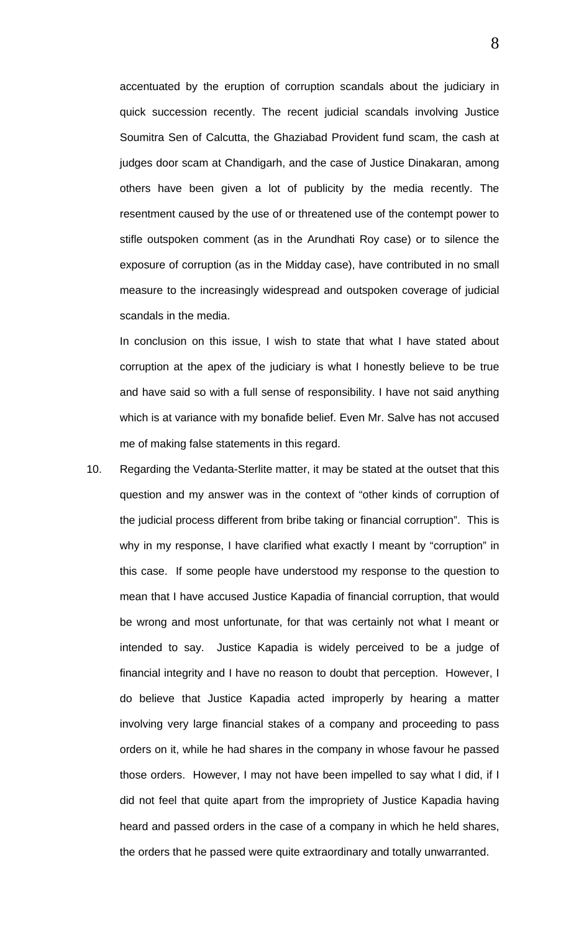accentuated by the eruption of corruption scandals about the judiciary in quick succession recently. The recent judicial scandals involving Justice Soumitra Sen of Calcutta, the Ghaziabad Provident fund scam, the cash at judges door scam at Chandigarh, and the case of Justice Dinakaran, among others have been given a lot of publicity by the media recently. The resentment caused by the use of or threatened use of the contempt power to stifle outspoken comment (as in the Arundhati Roy case) or to silence the exposure of corruption (as in the Midday case), have contributed in no small measure to the increasingly widespread and outspoken coverage of judicial scandals in the media.

In conclusion on this issue, I wish to state that what I have stated about corruption at the apex of the judiciary is what I honestly believe to be true and have said so with a full sense of responsibility. I have not said anything which is at variance with my bonafide belief. Even Mr. Salve has not accused me of making false statements in this regard.

10. Regarding the Vedanta-Sterlite matter, it may be stated at the outset that this question and my answer was in the context of "other kinds of corruption of the judicial process different from bribe taking or financial corruption". This is why in my response, I have clarified what exactly I meant by "corruption" in this case. If some people have understood my response to the question to mean that I have accused Justice Kapadia of financial corruption, that would be wrong and most unfortunate, for that was certainly not what I meant or intended to say. Justice Kapadia is widely perceived to be a judge of financial integrity and I have no reason to doubt that perception. However, I do believe that Justice Kapadia acted improperly by hearing a matter involving very large financial stakes of a company and proceeding to pass orders on it, while he had shares in the company in whose favour he passed those orders. However, I may not have been impelled to say what I did, if I did not feel that quite apart from the impropriety of Justice Kapadia having heard and passed orders in the case of a company in which he held shares, the orders that he passed were quite extraordinary and totally unwarranted.

8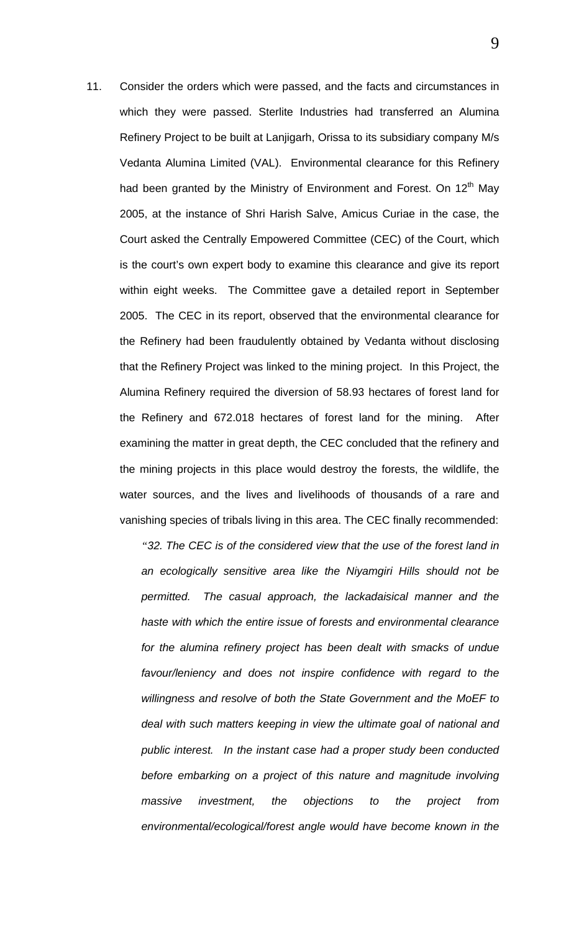11. Consider the orders which were passed, and the facts and circumstances in which they were passed. Sterlite Industries had transferred an Alumina Refinery Project to be built at Lanjigarh, Orissa to its subsidiary company M/s Vedanta Alumina Limited (VAL). Environmental clearance for this Refinery had been granted by the Ministry of Environment and Forest. On 12<sup>th</sup> May 2005, at the instance of Shri Harish Salve, Amicus Curiae in the case, the Court asked the Centrally Empowered Committee (CEC) of the Court, which is the court's own expert body to examine this clearance and give its report within eight weeks. The Committee gave a detailed report in September 2005. The CEC in its report, observed that the environmental clearance for the Refinery had been fraudulently obtained by Vedanta without disclosing that the Refinery Project was linked to the mining project. In this Project, the Alumina Refinery required the diversion of 58.93 hectares of forest land for the Refinery and 672.018 hectares of forest land for the mining. After examining the matter in great depth, the CEC concluded that the refinery and the mining projects in this place would destroy the forests, the wildlife, the water sources, and the lives and livelihoods of thousands of a rare and vanishing species of tribals living in this area. The CEC finally recommended:

> *"32. The CEC is of the considered view that the use of the forest land in an ecologically sensitive area like the Niyamgiri Hills should not be permitted. The casual approach, the lackadaisical manner and the haste with which the entire issue of forests and environmental clearance for the alumina refinery project has been dealt with smacks of undue favour/leniency and does not inspire confidence with regard to the willingness and resolve of both the State Government and the MoEF to deal with such matters keeping in view the ultimate goal of national and public interest. In the instant case had a proper study been conducted*  before embarking on a project of this nature and magnitude involving *massive investment, the objections to the project from environmental/ecological/forest angle would have become known in the*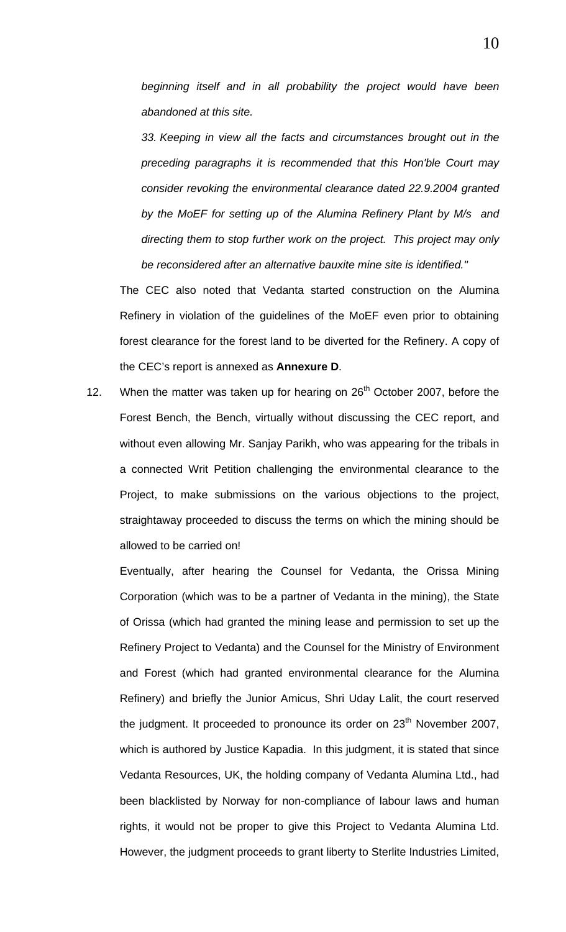*beginning itself and in all probability the project would have been abandoned at this site.* 

*33. Keeping in view all the facts and circumstances brought out in the preceding paragraphs it is recommended that this Hon'ble Court may consider revoking the environmental clearance dated 22.9.2004 granted by the MoEF for setting up of the Alumina Refinery Plant by M/s and directing them to stop further work on the project. This project may only be reconsidered after an alternative bauxite mine site is identified."* 

The CEC also noted that Vedanta started construction on the Alumina Refinery in violation of the guidelines of the MoEF even prior to obtaining forest clearance for the forest land to be diverted for the Refinery. A copy of the CEC's report is annexed as **Annexure D**.

12. When the matter was taken up for hearing on  $26<sup>th</sup>$  October 2007, before the Forest Bench, the Bench, virtually without discussing the CEC report, and without even allowing Mr. Sanjay Parikh, who was appearing for the tribals in a connected Writ Petition challenging the environmental clearance to the Project, to make submissions on the various objections to the project, straightaway proceeded to discuss the terms on which the mining should be allowed to be carried on!

Eventually, after hearing the Counsel for Vedanta, the Orissa Mining Corporation (which was to be a partner of Vedanta in the mining), the State of Orissa (which had granted the mining lease and permission to set up the Refinery Project to Vedanta) and the Counsel for the Ministry of Environment and Forest (which had granted environmental clearance for the Alumina Refinery) and briefly the Junior Amicus, Shri Uday Lalit, the court reserved the judgment. It proceeded to pronounce its order on 23<sup>th</sup> November 2007, which is authored by Justice Kapadia. In this judgment, it is stated that since Vedanta Resources, UK, the holding company of Vedanta Alumina Ltd., had been blacklisted by Norway for non-compliance of labour laws and human rights, it would not be proper to give this Project to Vedanta Alumina Ltd. However, the judgment proceeds to grant liberty to Sterlite Industries Limited,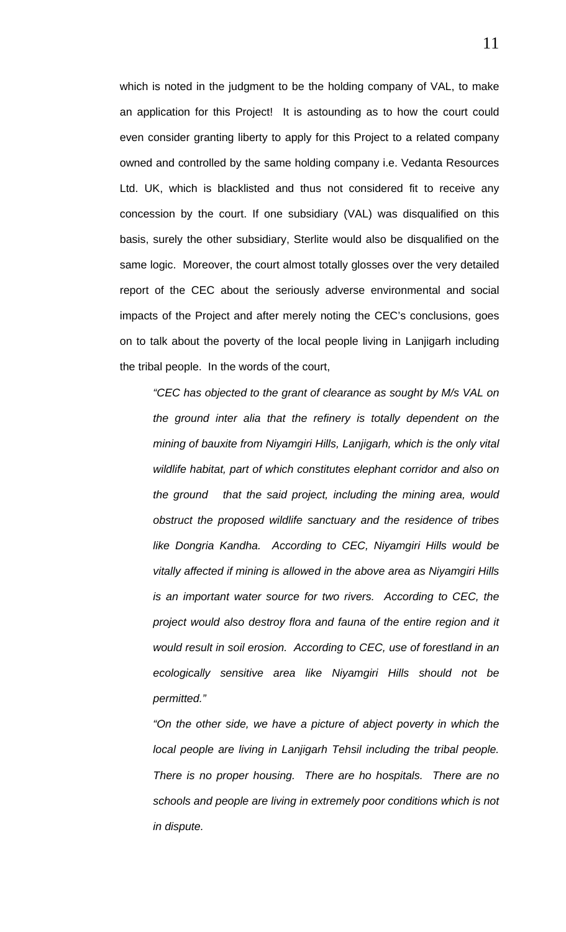which is noted in the judgment to be the holding company of VAL, to make an application for this Project! It is astounding as to how the court could even consider granting liberty to apply for this Project to a related company owned and controlled by the same holding company i.e. Vedanta Resources Ltd. UK, which is blacklisted and thus not considered fit to receive any concession by the court. If one subsidiary (VAL) was disqualified on this basis, surely the other subsidiary, Sterlite would also be disqualified on the same logic. Moreover, the court almost totally glosses over the very detailed report of the CEC about the seriously adverse environmental and social impacts of the Project and after merely noting the CEC's conclusions, goes on to talk about the poverty of the local people living in Lanjigarh including the tribal people. In the words of the court,

*"CEC has objected to the grant of clearance as sought by M/s VAL on the ground inter alia that the refinery is totally dependent on the mining of bauxite from Niyamgiri Hills, Lanjigarh, which is the only vital wildlife habitat, part of which constitutes elephant corridor and also on the ground that the said project, including the mining area, would obstruct the proposed wildlife sanctuary and the residence of tribes like Dongria Kandha. According to CEC, Niyamgiri Hills would be vitally affected if mining is allowed in the above area as Niyamgiri Hills is an important water source for two rivers. According to CEC, the project would also destroy flora and fauna of the entire region and it would result in soil erosion. According to CEC, use of forestland in an ecologically sensitive area like Niyamgiri Hills should not be permitted."* 

*"On the other side, we have a picture of abject poverty in which the local people are living in Lanjigarh Tehsil including the tribal people. There is no proper housing. There are ho hospitals. There are no schools and people are living in extremely poor conditions which is not in dispute.*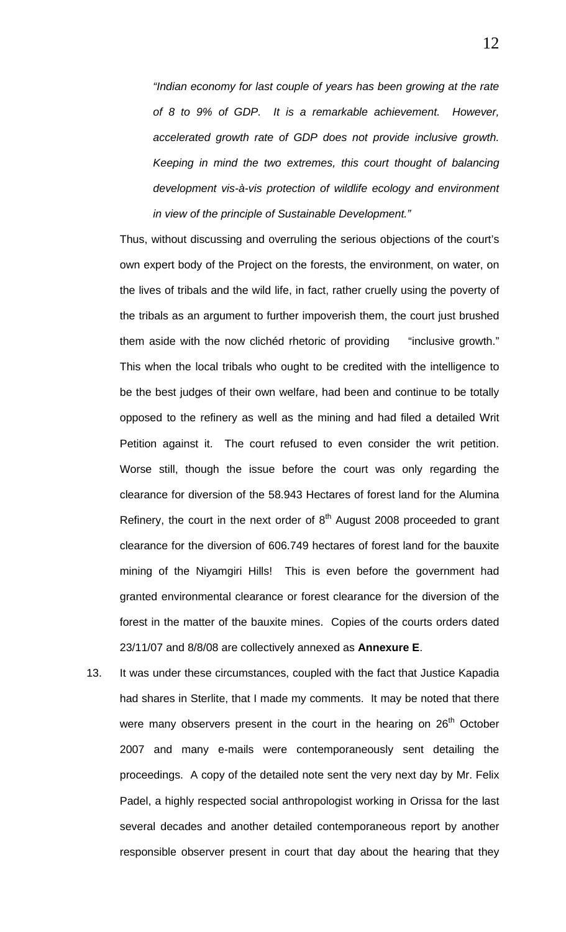*"Indian economy for last couple of years has been growing at the rate of 8 to 9% of GDP. It is a remarkable achievement. However, accelerated growth rate of GDP does not provide inclusive growth. Keeping in mind the two extremes, this court thought of balancing development vis-à-vis protection of wildlife ecology and environment in view of the principle of Sustainable Development."* 

Thus, without discussing and overruling the serious objections of the court's own expert body of the Project on the forests, the environment, on water, on the lives of tribals and the wild life, in fact, rather cruelly using the poverty of the tribals as an argument to further impoverish them, the court just brushed them aside with the now clichéd rhetoric of providing "inclusive growth." This when the local tribals who ought to be credited with the intelligence to be the best judges of their own welfare, had been and continue to be totally opposed to the refinery as well as the mining and had filed a detailed Writ Petition against it. The court refused to even consider the writ petition. Worse still, though the issue before the court was only regarding the clearance for diversion of the 58.943 Hectares of forest land for the Alumina Refinery, the court in the next order of  $8<sup>th</sup>$  August 2008 proceeded to grant clearance for the diversion of 606.749 hectares of forest land for the bauxite mining of the Niyamgiri Hills! This is even before the government had granted environmental clearance or forest clearance for the diversion of the forest in the matter of the bauxite mines. Copies of the courts orders dated 23/11/07 and 8/8/08 are collectively annexed as **Annexure E**.

13. It was under these circumstances, coupled with the fact that Justice Kapadia had shares in Sterlite, that I made my comments. It may be noted that there were many observers present in the court in the hearing on 26<sup>th</sup> October 2007 and many e-mails were contemporaneously sent detailing the proceedings. A copy of the detailed note sent the very next day by Mr. Felix Padel, a highly respected social anthropologist working in Orissa for the last several decades and another detailed contemporaneous report by another responsible observer present in court that day about the hearing that they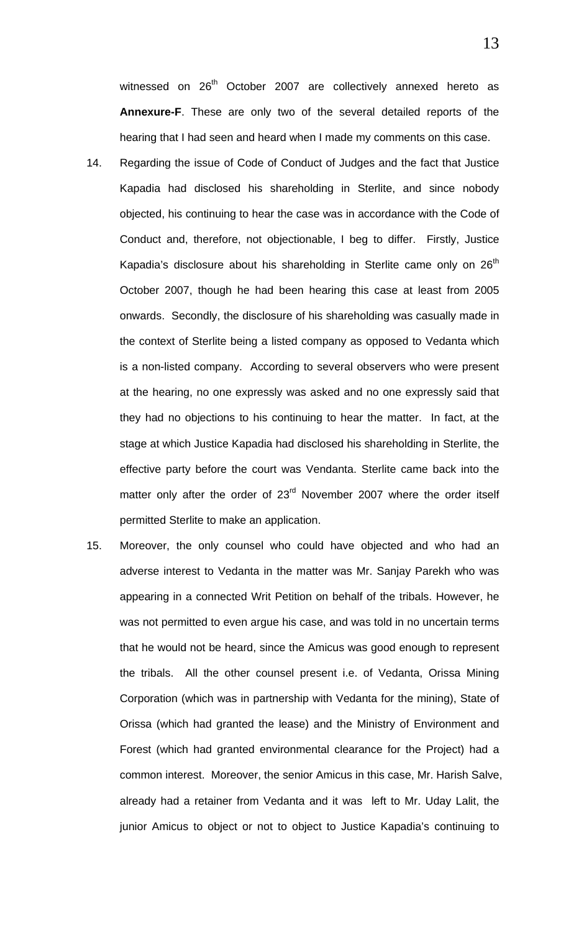witnessed on 26<sup>th</sup> October 2007 are collectively annexed hereto as **Annexure-F**. These are only two of the several detailed reports of the hearing that I had seen and heard when I made my comments on this case.

- 14. Regarding the issue of Code of Conduct of Judges and the fact that Justice Kapadia had disclosed his shareholding in Sterlite, and since nobody objected, his continuing to hear the case was in accordance with the Code of Conduct and, therefore, not objectionable, I beg to differ. Firstly, Justice Kapadia's disclosure about his shareholding in Sterlite came only on  $26<sup>th</sup>$ October 2007, though he had been hearing this case at least from 2005 onwards. Secondly, the disclosure of his shareholding was casually made in the context of Sterlite being a listed company as opposed to Vedanta which is a non-listed company. According to several observers who were present at the hearing, no one expressly was asked and no one expressly said that they had no objections to his continuing to hear the matter. In fact, at the stage at which Justice Kapadia had disclosed his shareholding in Sterlite, the effective party before the court was Vendanta. Sterlite came back into the matter only after the order of 23<sup>rd</sup> November 2007 where the order itself permitted Sterlite to make an application.
- 15. Moreover, the only counsel who could have objected and who had an adverse interest to Vedanta in the matter was Mr. Sanjay Parekh who was appearing in a connected Writ Petition on behalf of the tribals. However, he was not permitted to even argue his case, and was told in no uncertain terms that he would not be heard, since the Amicus was good enough to represent the tribals. All the other counsel present i.e. of Vedanta, Orissa Mining Corporation (which was in partnership with Vedanta for the mining), State of Orissa (which had granted the lease) and the Ministry of Environment and Forest (which had granted environmental clearance for the Project) had a common interest. Moreover, the senior Amicus in this case, Mr. Harish Salve, already had a retainer from Vedanta and it was left to Mr. Uday Lalit, the junior Amicus to object or not to object to Justice Kapadia's continuing to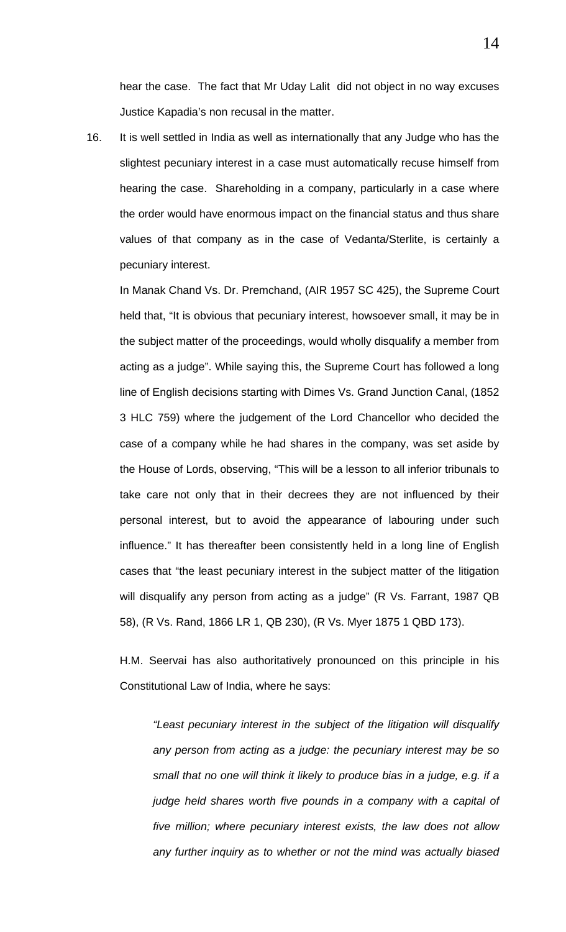hear the case. The fact that Mr Uday Lalit did not object in no way excuses Justice Kapadia's non recusal in the matter.

16. It is well settled in India as well as internationally that any Judge who has the slightest pecuniary interest in a case must automatically recuse himself from hearing the case. Shareholding in a company, particularly in a case where the order would have enormous impact on the financial status and thus share values of that company as in the case of Vedanta/Sterlite, is certainly a pecuniary interest.

In Manak Chand Vs. Dr. Premchand, (AIR 1957 SC 425), the Supreme Court held that, "It is obvious that pecuniary interest, howsoever small, it may be in the subject matter of the proceedings, would wholly disqualify a member from acting as a judge". While saying this, the Supreme Court has followed a long line of English decisions starting with Dimes Vs. Grand Junction Canal, (1852 3 HLC 759) where the judgement of the Lord Chancellor who decided the case of a company while he had shares in the company, was set aside by the House of Lords, observing, "This will be a lesson to all inferior tribunals to take care not only that in their decrees they are not influenced by their personal interest, but to avoid the appearance of labouring under such influence." It has thereafter been consistently held in a long line of English cases that "the least pecuniary interest in the subject matter of the litigation will disqualify any person from acting as a judge" (R Vs. Farrant, 1987 QB 58), (R Vs. Rand, 1866 LR 1, QB 230), (R Vs. Myer 1875 1 QBD 173).

H.M. Seervai has also authoritatively pronounced on this principle in his Constitutional Law of India, where he says:

*"Least pecuniary interest in the subject of the litigation will disqualify any person from acting as a judge: the pecuniary interest may be so small that no one will think it likely to produce bias in a judge, e.g. if a judge held shares worth five pounds in a company with a capital of five million; where pecuniary interest exists, the law does not allow any further inquiry as to whether or not the mind was actually biased*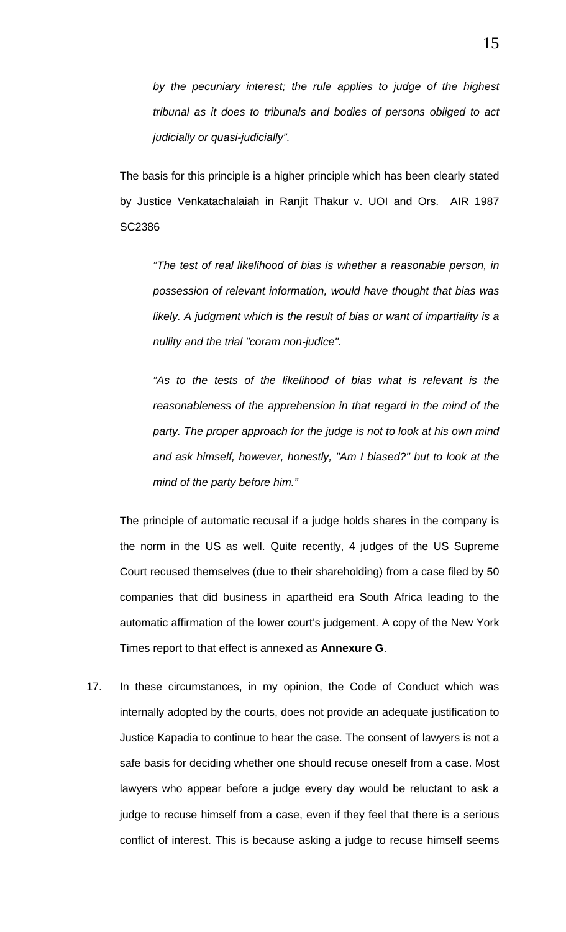The basis for this principle is a higher principle which has been clearly stated by Justice Venkatachalaiah in Ranjit Thakur v. UOI and Ors. AIR 1987 SC2386

*"The test of real likelihood of bias is whether a reasonable person, in possession of relevant information, would have thought that bias was likely. A judgment which is the result of bias or want of impartiality is a nullity and the trial "coram non-judice".* 

*"As to the tests of the likelihood of bias what is relevant is the reasonableness of the apprehension in that regard in the mind of the party. The proper approach for the judge is not to look at his own mind and ask himself, however, honestly, "Am I biased?" but to look at the mind of the party before him."* 

The principle of automatic recusal if a judge holds shares in the company is the norm in the US as well. Quite recently, 4 judges of the US Supreme Court recused themselves (due to their shareholding) from a case filed by 50 companies that did business in apartheid era South Africa leading to the automatic affirmation of the lower court's judgement. A copy of the New York Times report to that effect is annexed as **Annexure G**.

17. In these circumstances, in my opinion, the Code of Conduct which was internally adopted by the courts, does not provide an adequate justification to Justice Kapadia to continue to hear the case. The consent of lawyers is not a safe basis for deciding whether one should recuse oneself from a case. Most lawyers who appear before a judge every day would be reluctant to ask a judge to recuse himself from a case, even if they feel that there is a serious conflict of interest. This is because asking a judge to recuse himself seems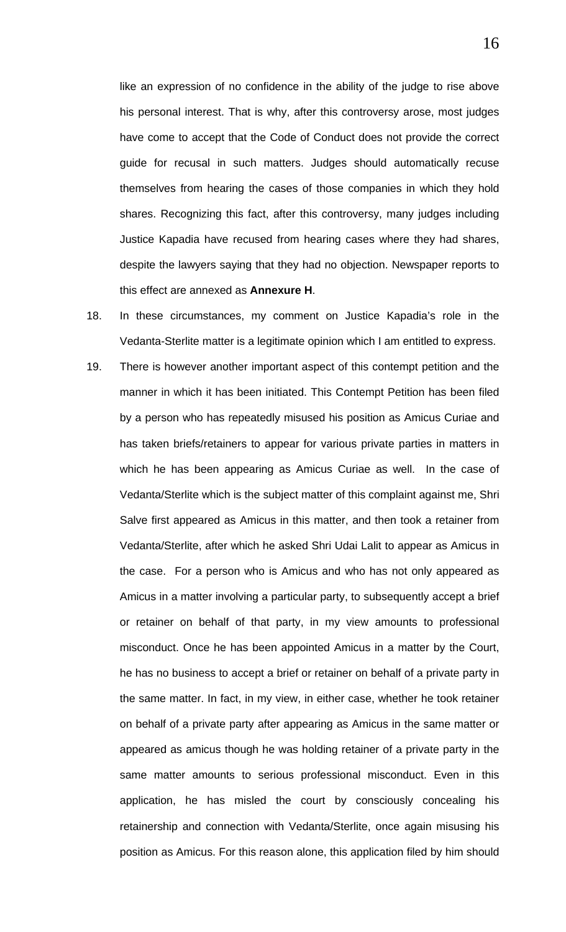like an expression of no confidence in the ability of the judge to rise above his personal interest. That is why, after this controversy arose, most judges have come to accept that the Code of Conduct does not provide the correct guide for recusal in such matters. Judges should automatically recuse themselves from hearing the cases of those companies in which they hold shares. Recognizing this fact, after this controversy, many judges including Justice Kapadia have recused from hearing cases where they had shares, despite the lawyers saying that they had no objection. Newspaper reports to this effect are annexed as **Annexure H**.

- 18. In these circumstances, my comment on Justice Kapadia's role in the Vedanta-Sterlite matter is a legitimate opinion which I am entitled to express.
- 19. There is however another important aspect of this contempt petition and the manner in which it has been initiated. This Contempt Petition has been filed by a person who has repeatedly misused his position as Amicus Curiae and has taken briefs/retainers to appear for various private parties in matters in which he has been appearing as Amicus Curiae as well. In the case of Vedanta/Sterlite which is the subject matter of this complaint against me, Shri Salve first appeared as Amicus in this matter, and then took a retainer from Vedanta/Sterlite, after which he asked Shri Udai Lalit to appear as Amicus in the case. For a person who is Amicus and who has not only appeared as Amicus in a matter involving a particular party, to subsequently accept a brief or retainer on behalf of that party, in my view amounts to professional misconduct. Once he has been appointed Amicus in a matter by the Court, he has no business to accept a brief or retainer on behalf of a private party in the same matter. In fact, in my view, in either case, whether he took retainer on behalf of a private party after appearing as Amicus in the same matter or appeared as amicus though he was holding retainer of a private party in the same matter amounts to serious professional misconduct. Even in this application, he has misled the court by consciously concealing his retainership and connection with Vedanta/Sterlite, once again misusing his position as Amicus. For this reason alone, this application filed by him should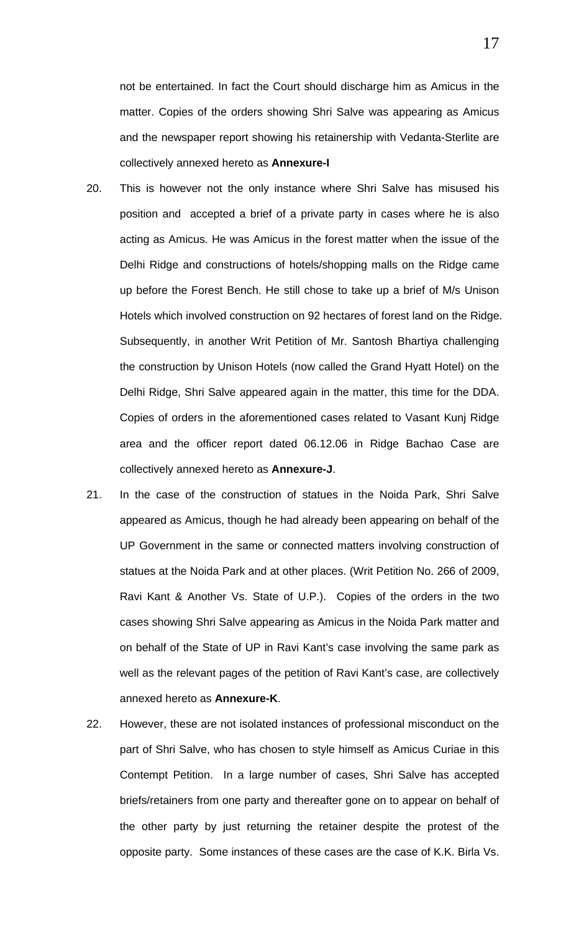not be entertained. In fact the Court should discharge him as Amicus in the matter. Copies of the orders showing Shri Salve was appearing as Amicus and the newspaper report showing his retainership with Vedanta-Sterlite are collectively annexed hereto as **Annexure-I**

- 20. This is however not the only instance where Shri Salve has misused his position and accepted a brief of a private party in cases where he is also acting as Amicus. He was Amicus in the forest matter when the issue of the Delhi Ridge and constructions of hotels/shopping malls on the Ridge came up before the Forest Bench. He still chose to take up a brief of M/s Unison Hotels which involved construction on 92 hectares of forest land on the Ridge. Subsequently, in another Writ Petition of Mr. Santosh Bhartiya challenging the construction by Unison Hotels (now called the Grand Hyatt Hotel) on the Delhi Ridge, Shri Salve appeared again in the matter, this time for the DDA. Copies of orders in the aforementioned cases related to Vasant Kunj Ridge area and the officer report dated 06.12.06 in Ridge Bachao Case are collectively annexed hereto as **Annexure-J**.
- 21. In the case of the construction of statues in the Noida Park, Shri Salve appeared as Amicus, though he had already been appearing on behalf of the UP Government in the same or connected matters involving construction of statues at the Noida Park and at other places. (Writ Petition No. 266 of 2009, Ravi Kant & Another Vs. State of U.P.). Copies of the orders in the two cases showing Shri Salve appearing as Amicus in the Noida Park matter and on behalf of the State of UP in Ravi Kant's case involving the same park as well as the relevant pages of the petition of Ravi Kant's case, are collectively annexed hereto as **Annexure-K**.
- 22. However, these are not isolated instances of professional misconduct on the part of Shri Salve, who has chosen to style himself as Amicus Curiae in this Contempt Petition. In a large number of cases, Shri Salve has accepted briefs/retainers from one party and thereafter gone on to appear on behalf of the other party by just returning the retainer despite the protest of the opposite party. Some instances of these cases are the case of K.K. Birla Vs.